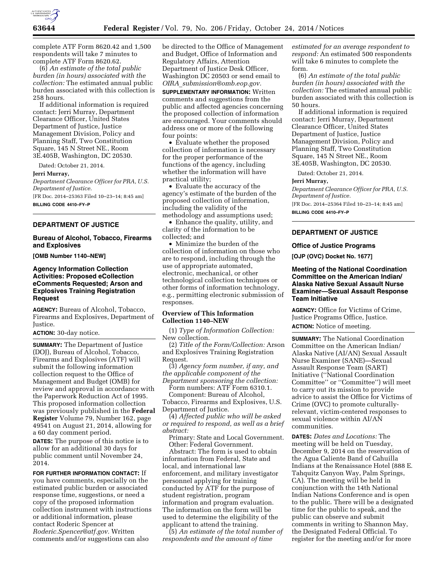

complete ATF Form 8620.42 and 1,500 respondents will take 7 minutes to complete ATF Form 8620.62.

(6) *An estimate of the total public burden (in hours) associated with the collection:* The estimated annual public burden associated with this collection is 258 hours.

If additional information is required contact: Jerri Murray, Department Clearance Officer, United States Department of Justice, Justice Management Division, Policy and Planning Staff, Two Constitution Square, 145 N Street NE., Room 3E.405B, Washington, DC 20530.

Dated: October 21, 2014.

### **Jerri Murray,**

*Department Clearance Officer for PRA, U.S. Department of Justice.*  [FR Doc. 2014–25363 Filed 10–23–14; 8:45 am]

**BILLING CODE 4410–FY–P** 

# **DEPARTMENT OF JUSTICE**

### **Bureau of Alcohol, Tobacco, Firearms and Explosives**

**[OMB Number 1140–NEW]** 

# **Agency Information Collection Activities: Proposed eCollection eComments Requested; Arson and Explosives Training Registration Request**

**AGENCY:** Bureau of Alcohol, Tobacco, Firearms and Explosives, Department of Justice.

**ACTION:** 30-day notice.

**SUMMARY:** The Department of Justice (DOJ), Bureau of Alcohol, Tobacco, Firearms and Explosives (ATF) will submit the following information collection request to the Office of Management and Budget (OMB) for review and approval in accordance with the Paperwork Reduction Act of 1995. This proposed information collection was previously published in the **Federal Register** Volume 79, Number 162, page 49541 on August 21, 2014, allowing for a 60 day comment period.

**DATES:** The purpose of this notice is to allow for an additional 30 days for public comment until November 24, 2014.

**FOR FURTHER INFORMATION CONTACT:** If you have comments, especially on the estimated public burden or associated response time, suggestions, or need a copy of the proposed information collection instrument with instructions or additional information, please contact Roderic Spencer at *[Roderic.Spencer@atf.gov.](mailto:Roderic.Spencer@atf.gov)* Written comments and/or suggestions can also

be directed to the Office of Management and Budget, Office of Information and Regulatory Affairs, Attention Department of Justice Desk Officer, Washington DC 20503 or send email to *OIRA*\_*[submission@omb.eop.gov.](mailto:OIRA_submission@omb.eop.gov)* 

**SUPPLEMENTARY INFORMATION:** Written comments and suggestions from the public and affected agencies concerning the proposed collection of information are encouraged. Your comments should address one or more of the following four points:

• Evaluate whether the proposed collection of information is necessary for the proper performance of the functions of the agency, including whether the information will have practical utility;

• Evaluate the accuracy of the agency's estimate of the burden of the proposed collection of information, including the validity of the methodology and assumptions used;

• Enhance the quality, utility, and clarity of the information to be collected; and

• Minimize the burden of the collection of information on those who are to respond, including through the use of appropriate automated, electronic, mechanical, or other technological collection techniques or other forms of information technology, e.g., permitting electronic submission of responses.

# **Overview of This Information Collection 1140–NEW**

(1) *Type of Information Collection:*  New collection.

(2) *Title of the Form/Collection:* Arson and Explosives Training Registration Request.

(3) *Agency form number, if any, and the applicable component of the Department sponsoring the collection:* 

Form numbers: ATF Form 6310.1.

Component: Bureau of Alcohol, Tobacco, Firearms and Explosives, U.S. Department of Justice.

(4) *Affected public who will be asked or required to respond, as well as a brief abstract:* 

Primary: State and Local Government. Other: Federal Government.

Abstract: The form is used to obtain information from Federal, State and local, and international law enforcement, and military investigator personnel applying for training conducted by ATF for the purpose of student registration, program information and program evaluation. The information on the form will be used to determine the eligibility of the applicant to attend the training.

(5) *An estimate of the total number of respondents and the amount of time* 

*estimated for an average respondent to respond:* An estimated 500 respondents will take 6 minutes to complete the form.

(6) *An estimate of the total public burden (in hours) associated with the collection:* The estimated annual public burden associated with this collection is 50 hours.

If additional information is required contact: Jerri Murray, Department Clearance Officer, United States Department of Justice, Justice Management Division, Policy and Planning Staff, Two Constitution Square, 145 N Street NE., Room 3E.405B, Washington, DC 20530.

Dated: October 21, 2014.

### **Jerri Murray,**

*Department Clearance Officer for PRA, U.S. Department of Justice.* 

[FR Doc. 2014–25364 Filed 10–23–14; 8:45 am] **BILLING CODE 4410–FY–P** 

# **DEPARTMENT OF JUSTICE**

# **Office of Justice Programs**

**[OJP (OVC) Docket No. 1677]** 

# **Meeting of the National Coordination Committee on the American Indian/ Alaska Native Sexual Assault Nurse Examiner—Sexual Assault Response Team Initiative**

**AGENCY:** Office for Victims of Crime, Justice Programs Office, Justice. **ACTION:** Notice of meeting.

**SUMMARY:** The National Coordination Committee on the American Indian/ Alaska Native (AI/AN) Sexual Assault Nurse Examiner (SANE)—Sexual Assault Response Team (SART) Initiative (''National Coordination Committee'' or ''Committee'') will meet to carry out its mission to provide advice to assist the Office for Victims of Crime (OVC) to promote culturallyrelevant, victim-centered responses to sexual violence within AI/AN communities.

**DATES:** *Dates and Locations:* The meeting will be held on Tuesday, December 9, 2014 on the reservation of the Agua Caliente Band of Cahuilla Indians at the Renaissance Hotel (888 E. Tahquitz Canyon Way, Palm Springs, CA). The meeting will be held in conjunction with the 14th National Indian Nations Conference and is open to the public. There will be a designated time for the public to speak, and the public can observe and submit comments in writing to Shannon May, the Designated Federal Official. To register for the meeting and/or for more